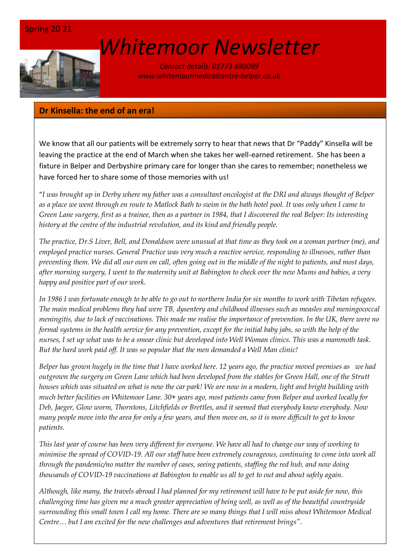

# *[W](http://www.google.co.uk/url?sa=i&rct=j&q=&esrc=s&source=images&cd=&cad=rja&uact=8&ved=0ahUKEwin-cyyiKnSAhVEWBQKHSM6ALcQjRwIBw&url=http://www.marsh-associates.org/marsh associates healthcare.html&psig=AFQjCNFsQSs3O1ON_CSbThOIRhZZ0AZsGQ&ust=1488037117603691)hitemoor Newsletter*

*Contact details: 01773 880099 www.whitemoormedicalcentre-belper.co.uk*

# **Dr Kinsella: the end of an era!**

We know that all our patients will be extremely sorry to hear that news that Dr "Paddy" Kinsella will be leaving the practice at the end of March when she takes her well-earned retirement. She has been a fixture in Belper and Derbyshire primary care for longer than she cares to remember; nonetheless we have forced her to share some of those memories with us!

"*I was brought up in Derby where my father was a consultant oncologist at the DRI and always thought of Belper as a place we went through en route to Matlock Bath to swim in the bath hotel pool. It was only when I came to Green Lane surgery, first as a trainee, then as a partner in 1984, that I discovered the real Belper: Its interesting history at the centre of the industrial revolution, and its kind and friendly people.* 

*The practice, Dr.S Liver, Bell, and Donaldson were unusual at that time as they took on a woman partner (me), and employed practice nurses. General Practice was very much a reactive service, responding to illnesses, rather than preventing them. We did all our own on call, often going out in the middle of the night to patients, and most days, after morning surgery, I went to the maternity unit at Babington to check over the new Mums and babies, a very happy and positive part of our work.* 

*In 1986 I was fortunate enough to be able to go out to northern India for six months to work with Tibetan refugees. The main medical problems they had were TB, dysentery and childhood illnesses such as measles and meningococcal meningitis, due to lack of vaccinations. This made me realise the importance of prevention. In the UK, there were no formal systems in the health service for any prevention, except for the initial baby jabs, so with the help of the nurses, I set up what was to be a smear clinic but developed into Well Woman clinics. This was a mammoth task. But the hard work paid off. It was so popular that the men demanded a Well Man clinic!* 

*Belper has grown hugely in the time that I have worked here. 12 years ago, the practice moved premises as we had outgrown the surgery on Green Lane which had been developed from the stables for Green Hall, one of the Strutt houses which was situated on what is now the car park! We are now in a modern, light and bright building with much better facilities on Whitemoor Lane. 30+ years ago, most patients came from Belper and worked locally for Deb, Jaeger, Glow worm, Thorntons, Litchfields or Brettles, and it seemed that everybody knew everybody. Now many people move into the area for only a few years, and then move on, so it is more difficult to get to know patients.*

*This last year of course has been very different for everyone. We have all had to change our way of working to minimise the spread of COVID-19. All our staff have been extremely courageous, continuing to come into work all through the pandemic/no matter the number of cases, seeing patients, staffing the red hub, and now doing thousands of COVID-19 vaccinations at Babington to enable us all to get to out and about safely again.*

*Although, like many, the travels abroad I had planned for my retirement will have to be put aside for now, this challenging time has given me a much greater appreciation of being well, as well as of the beautiful countryside surrounding this small town I call my home. There are so many things that I will miss about Whitemoor Medical Centre… but I am excited for the new challenges and adventures that retirement brings".*